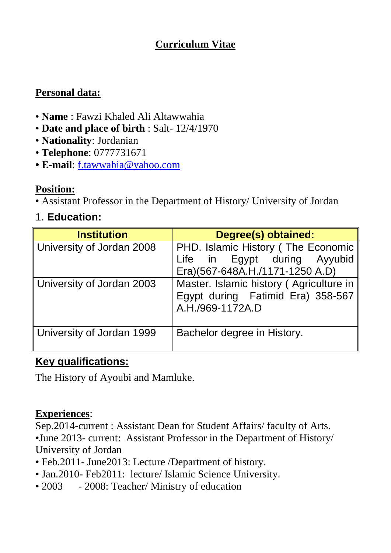# **Curriculum Vitae**

## **Personal data:**

- **Name** : Fawzi Khaled Ali Altawwahia
- **Date and place of birth** : Salt- 12/4/1970
- **Nationality**: Jordanian
- **Telephone**: 0777731671
- **E-mail**: [f.tawwahia@yahoo.com](mailto:f.tawwahia@yahoo.com)

#### **Position:**

• Assistant Professor in the Department of History/ University of Jordan

# 1. **Education:**

| <b>Institution</b>        | Degree(s) obtained:                                                                                   |
|---------------------------|-------------------------------------------------------------------------------------------------------|
| University of Jordan 2008 | PHD. Islamic History (The Economic<br>Life in Egypt during Ayyubid<br>Era)(567-648A.H./1171-1250 A.D) |
| University of Jordan 2003 | Master. Islamic history (Agriculture in<br>Egypt during Fatimid Era) 358-567<br>A.H./969-1172A.D      |
| University of Jordan 1999 | Bachelor degree in History.                                                                           |

## **Key qualifications:**

The History of Ayoubi and Mamluke.

#### **Experiences**:

Sep.2014-current : Assistant Dean for Student Affairs/ faculty of Arts. •June 2013- current: Assistant Professor in the Department of History/ University of Jordan

- Feb.2011- June2013: Lecture /Department of history.
- Jan.2010- Feb2011: lecture/ Islamic Science University.
- 2003 2008: Teacher/ Ministry of education